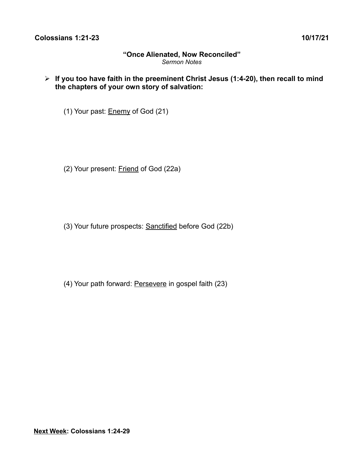# **"Once Alienated, Now Reconciled"** *Sermon Notes*

➢ **If you too have faith in the preeminent Christ Jesus (1:4-20), then recall to mind the chapters of your own story of salvation:**

(1) Your past: Enemy of God (21)

(2) Your present: Friend of God (22a)

(3) Your future prospects: Sanctified before God (22b)

(4) Your path forward: Persevere in gospel faith (23)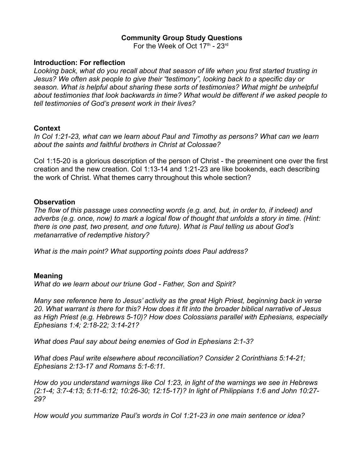# **Community Group Study Questions**

For the Week of Oct  $17<sup>th</sup>$  -  $23<sup>rd</sup>$ 

#### **Introduction: For reflection**

*Looking back, what do you recall about that season of life when you first started trusting in Jesus? We often ask people to give their "testimony", looking back to a specific day or season. What is helpful about sharing these sorts of testimonies? What might be unhelpful about testimonies that look backwards in time? What would be different if we asked people to tell testimonies of God's present work in their lives?*

#### **Context**

*In Col 1:21-23, what can we learn about Paul and Timothy as persons? What can we learn about the saints and faithful brothers in Christ at Colossae?*

Col 1:15-20 is a glorious description of the person of Christ - the preeminent one over the first creation and the new creation. Col 1:13-14 and 1:21-23 are like bookends, each describing the work of Christ. What themes carry throughout this whole section?

#### **Observation**

*The flow of this passage uses connecting words (e.g. and, but, in order to, if indeed) and adverbs (e.g. once, now) to mark a logical flow of thought that unfolds a story in time. (Hint: there is one past, two present, and one future). What is Paul telling us about God's metanarrative of redemptive history?*

*What is the main point? What supporting points does Paul address?*

### **Meaning**

*What do we learn about our triune God - Father, Son and Spirit?*

*Many see reference here to Jesus' activity as the great High Priest, beginning back in verse 20. What warrant is there for this? How does it fit into the broader biblical narrative of Jesus as High Priest (e.g. Hebrews 5-10)? How does Colossians parallel with Ephesians, especially Ephesians 1:4; 2:18-22; 3:14-21?*

*What does Paul say about being enemies of God in Ephesians 2:1-3?*

*What does Paul write elsewhere about reconciliation? Consider 2 Corinthians 5:14-21; Ephesians 2:13-17 and Romans 5:1-6:11.*

*How do you understand warnings like Col 1:23, in light of the warnings we see in Hebrews (2:1-4; 3:7-4:13; 5:11-6:12; 10:26-30; 12:15-17)? In light of Philippians 1:6 and John 10:27- 29?*

*How would you summarize Paul's words in Col 1:21-23 in one main sentence or idea?*